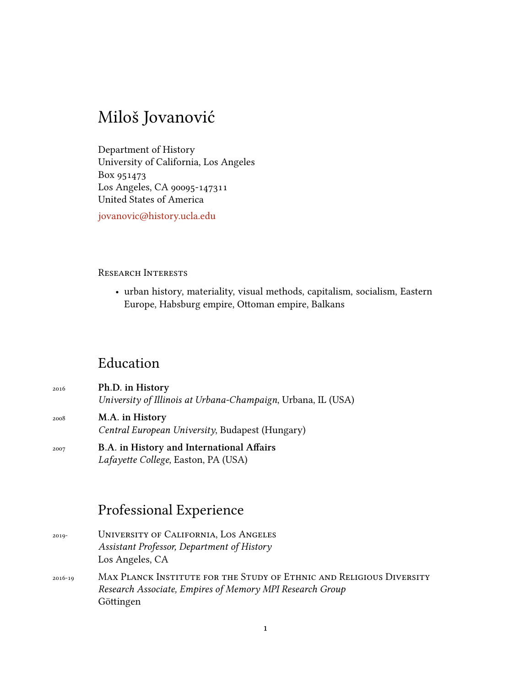# Miloš Jovanović

Department of History University of California, Los Angeles Box 951473 Los Angeles, CA 90095-147311 United States of America

[jovanovic@history.ucla.edu](mailto:jovanovic@history.ucla.edu)

#### Research Interests

• urban history, materiality, visual methods, capitalism, socialism, Eastern Europe, Habsburg empire, Ottoman empire, Balkans

### Education

| 2016 | Ph.D. in History                                             |
|------|--------------------------------------------------------------|
|      | University of Illinois at Urbana-Champaign, Urbana, IL (USA) |
| 2008 | M.A. in History                                              |
|      | Central European University, Budapest (Hungary)              |
|      |                                                              |

<sup>2007</sup> **B.A. in History and International Affairs** *Lafayette College*, Easton, PA (USA)

### Professional Experience

- 2019- University of California, Los Angeles *Assistant Professor, Department of History* Los Angeles, CA
- 2016-19 Max Planck Institute for the Study of Ethnic and Religious Diversity *Research Associate, Empires of Memory MPI Research Group* Göttingen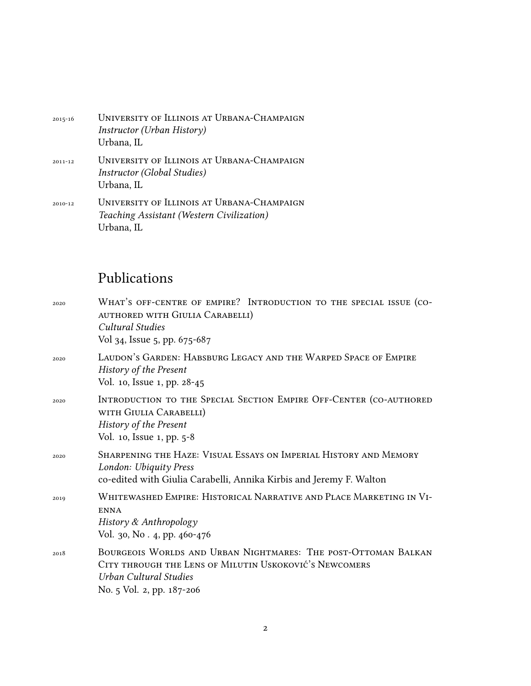| $2015 - 16$ | UNIVERSITY OF ILLINOIS AT URBANA-CHAMPAIGN<br><i>Instructor (Urban History)</i><br>Urbana, IL         |
|-------------|-------------------------------------------------------------------------------------------------------|
| $2011 - 12$ | UNIVERSITY OF ILLINOIS AT URBANA-CHAMPAIGN<br>Instructor (Global Studies)<br>Urbana, IL               |
| $2010 - 12$ | UNIVERSITY OF ILLINOIS AT URBANA-CHAMPAIGN<br>Teaching Assistant (Western Civilization)<br>Urbana, IL |

## Publications

| 2020 | WHAT'S OFF-CENTRE OF EMPIRE? INTRODUCTION TO THE SPECIAL ISSUE (CO-<br>AUTHORED WITH GIULIA CARABELLI)<br>Cultural Studies<br>Vol 34, Issue 5, pp. 675-687                      |
|------|---------------------------------------------------------------------------------------------------------------------------------------------------------------------------------|
| 2020 | LAUDON'S GARDEN: HABSBURG LEGACY AND THE WARPED SPACE OF EMPIRE<br>History of the Present<br>Vol. 10, Issue 1, pp. 28-45                                                        |
| 2020 | INTRODUCTION TO THE SPECIAL SECTION EMPIRE OFF-CENTER (CO-AUTHORED<br>WITH GIULIA CARABELLI)<br>History of the Present<br>Vol. 10, Issue 1, pp. 5-8                             |
| 2020 | SHARPENING THE HAZE: VISUAL ESSAYS ON IMPERIAL HISTORY AND MEMORY<br>London: Ubiquity Press<br>co-edited with Giulia Carabelli, Annika Kirbis and Jeremy F. Walton              |
| 2019 | WHITEWASHED EMPIRE: HISTORICAL NARRATIVE AND PLACE MARKETING IN VI-<br><b>ENNA</b><br>History & Anthropology<br>Vol. 30, No. 4, pp. 460-476                                     |
| 2018 | BOURGEOIS WORLDS AND URBAN NIGHTMARES: THE POST-OTTOMAN BALKAN<br>CITY THROUGH THE LENS OF MILUTIN USKOKOVIĆ'S NEWCOMERS<br>Urban Cultural Studies<br>No. 5 Vol. 2, pp. 187-206 |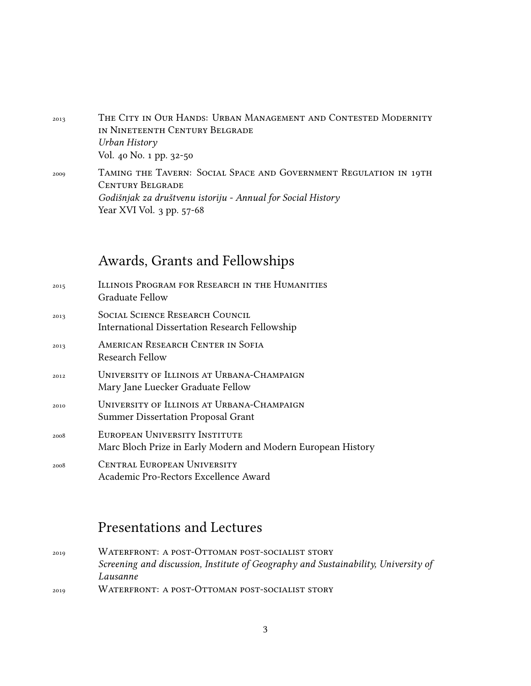- <sup>2013</sup> THE CITY IN OUR HANDS: URBAN MANAGEMENT AND CONTESTED MODERNITY in Nineteenth Century Belgrade *Urban History* Vol. 40 No. 1 pp. 32-50
- <sup>2009</sup> Taming the Tavern: Social Space and Government Regulation in 19th CENTURY BELGRADE *Godišnjak za društvenu istoriju - Annual for Social History* Year XVI Vol. 3 pp. 57-68

#### Awards, Grants and Fellowships

| 2015 | ILLINOIS PROGRAM FOR RESEARCH IN THE HUMANITIES<br>Graduate Fellow                              |
|------|-------------------------------------------------------------------------------------------------|
| 2013 | <b>SOCIAL SCIENCE RESEARCH COUNCIL</b><br><b>International Dissertation Research Fellowship</b> |
| 2013 | AMERICAN RESEARCH CENTER IN SOFIA<br>Research Fellow                                            |
| 2012 | UNIVERSITY OF ILLINOIS AT URBANA-CHAMPAIGN<br>Mary Jane Luecker Graduate Fellow                 |
| 2010 | UNIVERSITY OF ILLINOIS AT URBANA-CHAMPAIGN<br><b>Summer Dissertation Proposal Grant</b>         |
| 2008 | EUROPEAN UNIVERSITY INSTITUTE<br>Marc Bloch Prize in Early Modern and Modern European History   |
| 2008 | <b>CENTRAL EUROPEAN UNIVERSITY</b><br>Academic Pro-Rectors Excellence Award                     |

## Presentations and Lectures

2019 WATERFRONT: A POST-OTTOMAN POST-SOCIALIST STORY *Screening and discussion, Institute of Geography and Sustainability, University of Lausanne* 2019 WATERFRONT: A POST-OTTOMAN POST-SOCIALIST STORY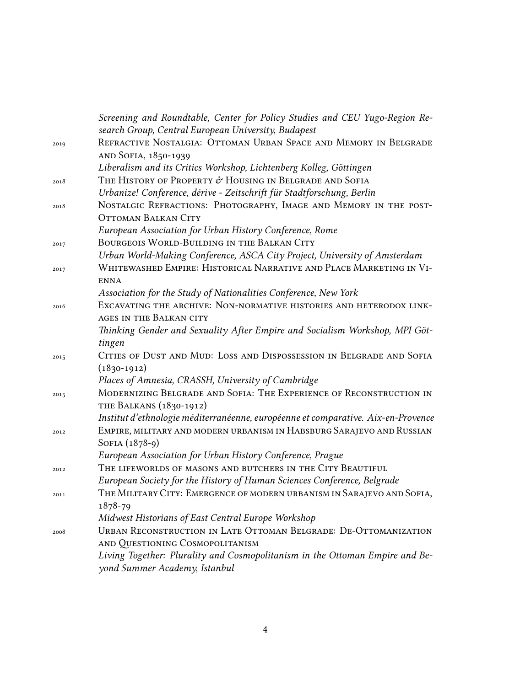|      | Screening and Roundtable, Center for Policy Studies and CEU Yugo-Region Re-       |
|------|-----------------------------------------------------------------------------------|
|      | search Group, Central European University, Budapest                               |
| 2019 | REFRACTIVE NOSTALGIA: OTTOMAN URBAN SPACE AND MEMORY IN BELGRADE                  |
|      | AND SOFIA, 1850-1939                                                              |
|      | Liberalism and its Critics Workshop, Lichtenberg Kolleg, Göttingen                |
| 2018 | The History of Property & Housing in Belgrade and Sofia                           |
|      | Urbanize! Conference, dérive - Zeitschrift für Stadtforschung, Berlin             |
| 2018 | NOSTALGIC REFRACTIONS: PHOTOGRAPHY, IMAGE AND MEMORY IN THE POST-                 |
|      | <b>OTTOMAN BALKAN CITY</b>                                                        |
|      | European Association for Urban History Conference, Rome                           |
| 2017 | BOURGEOIS WORLD-BUILDING IN THE BALKAN CITY                                       |
|      | Urban World-Making Conference, ASCA City Project, University of Amsterdam         |
| 2017 | WHITEWASHED EMPIRE: HISTORICAL NARRATIVE AND PLACE MARKETING IN VI-               |
|      | <b>ENNA</b>                                                                       |
|      | Association for the Study of Nationalities Conference, New York                   |
| 2016 | EXCAVATING THE ARCHIVE: NON-NORMATIVE HISTORIES AND HETERODOX LINK-               |
|      | AGES IN THE BALKAN CITY                                                           |
|      | Thinking Gender and Sexuality After Empire and Socialism Workshop, MPI Göt-       |
|      | tingen                                                                            |
| 2015 | CITIES OF DUST AND MUD: LOSS AND DISPOSSESSION IN BELGRADE AND SOFIA              |
|      | $(1830-1912)$                                                                     |
|      | Places of Amnesia, CRASSH, University of Cambridge                                |
| 2015 | MODERNIZING BELGRADE AND SOFIA: THE EXPERIENCE OF RECONSTRUCTION IN               |
|      | THE BALKANS (1830-1912)                                                           |
|      | Institut d'ethnologie méditerranéenne, européenne et comparative. Aix-en-Provence |
| 2012 | EMPIRE, MILITARY AND MODERN URBANISM IN HABSBURG SARAJEVO AND RUSSIAN             |
|      | SOFIA (1878-9)                                                                    |
|      | European Association for Urban History Conference, Prague                         |
| 2012 | THE LIFEWORLDS OF MASONS AND BUTCHERS IN THE CITY BEAUTIFUL                       |
|      | European Society for the History of Human Sciences Conference, Belgrade           |
| 2011 | THE MILITARY CITY: EMERGENCE OF MODERN URBANISM IN SARAJEVO AND SOFIA,            |
|      | 1878-79                                                                           |
|      | Midwest Historians of East Central Europe Workshop                                |
| 2008 | URBAN RECONSTRUCTION IN LATE OTTOMAN BELGRADE: DE-OTTOMANIZATION                  |
|      | AND QUESTIONING COSMOPOLITANISM                                                   |
|      | Living Together: Plurality and Cosmopolitanism in the Ottoman Empire and Be-      |
|      | yond Summer Academy, Istanbul                                                     |
|      |                                                                                   |